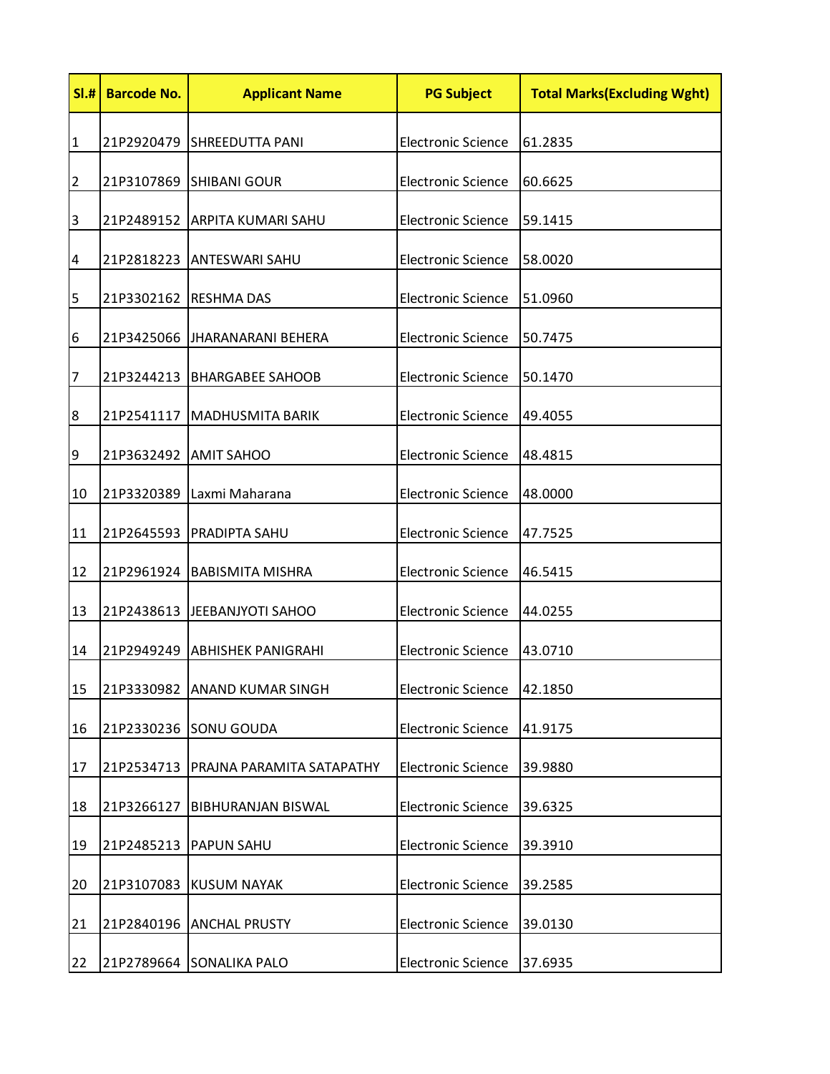| SI.#           | <b>Barcode No.</b> | <b>Applicant Name</b>         | <b>PG Subject</b>         | <b>Total Marks (Excluding Wght)</b> |
|----------------|--------------------|-------------------------------|---------------------------|-------------------------------------|
| $\mathbf{1}$   |                    | 21P2920479 SHREEDUTTA PANI    | <b>Electronic Science</b> | 61.2835                             |
| $\overline{2}$ | 21P3107869         | <b>SHIBANI GOUR</b>           | <b>Electronic Science</b> | 60.6625                             |
| 3              | 21P2489152         | <b>ARPITA KUMARI SAHU</b>     | <b>Electronic Science</b> | 59.1415                             |
| 4              | 21P2818223         | <b>ANTESWARI SAHU</b>         | <b>Electronic Science</b> | 58.0020                             |
| 5              |                    | 21P3302162 RESHMA DAS         | <b>Electronic Science</b> | 51.0960                             |
| 6              | 21P3425066         | <b>JHARANARANI BEHERA</b>     | <b>Electronic Science</b> | 50.7475                             |
| $\overline{7}$ |                    | 21P3244213   BHARGABEE SAHOOB | <b>Electronic Science</b> | 50.1470                             |
| 8              | 21P2541117         | <b>MADHUSMITA BARIK</b>       | <b>Electronic Science</b> | 49.4055                             |
| 9              | 21P3632492         | <b>AMIT SAHOO</b>             | <b>Electronic Science</b> | 48.4815                             |
| 10             | 21P3320389         | Laxmi Maharana                | <b>Electronic Science</b> | 48.0000                             |
| 11             | 21P2645593         | PRADIPTA SAHU                 | <b>Electronic Science</b> | 47.7525                             |
| 12             |                    | 21P2961924   BABISMITA MISHRA | <b>Electronic Science</b> | 46.5415                             |
| 13             | 21P2438613         | JEEBANJYOTI SAHOO             | <b>Electronic Science</b> | 44.0255                             |
| 14             | 21P2949249         | ABHISHEK PANIGRAHI            | <b>Electronic Science</b> | 43.0710                             |
| 15             | 21P3330982         | <b>ANAND KUMAR SINGH</b>      | <b>Electronic Science</b> | 42.1850                             |
| 16             |                    | 21P2330236 SONU GOUDA         | <b>Electronic Science</b> | 41.9175                             |
| 17             | 21P2534713         | PRAJNA PARAMITA SATAPATHY     | <b>Electronic Science</b> | 39.9880                             |
| 18             | 21P3266127         | <b>BIBHURANJAN BISWAL</b>     | <b>Electronic Science</b> | 39.6325                             |
| 19             | 21P2485213         | <b>PAPUN SAHU</b>             | <b>Electronic Science</b> | 39.3910                             |
| 20             | 21P3107083         | <b>KUSUM NAYAK</b>            | <b>Electronic Science</b> | 39.2585                             |
| 21             | 21P2840196         | <b>ANCHAL PRUSTY</b>          | <b>Electronic Science</b> | 39.0130                             |
| 22             |                    | 21P2789664 SONALIKA PALO      | <b>Electronic Science</b> | 37.6935                             |